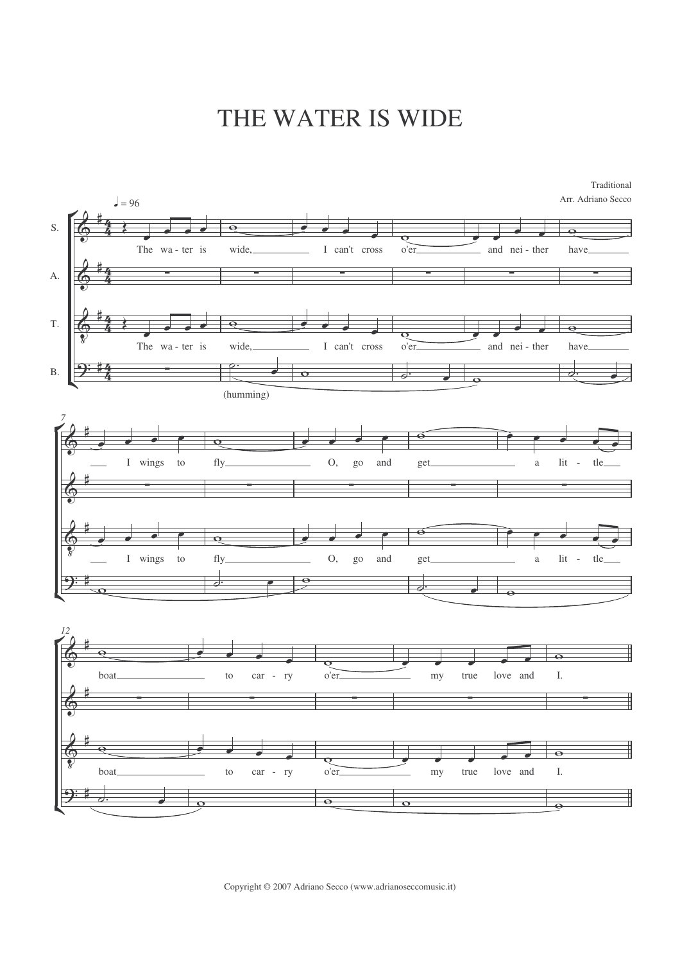## THE WATER IS WIDE



Copyright © 2007 Adriano Secco (www.adrianoseccomusic.it)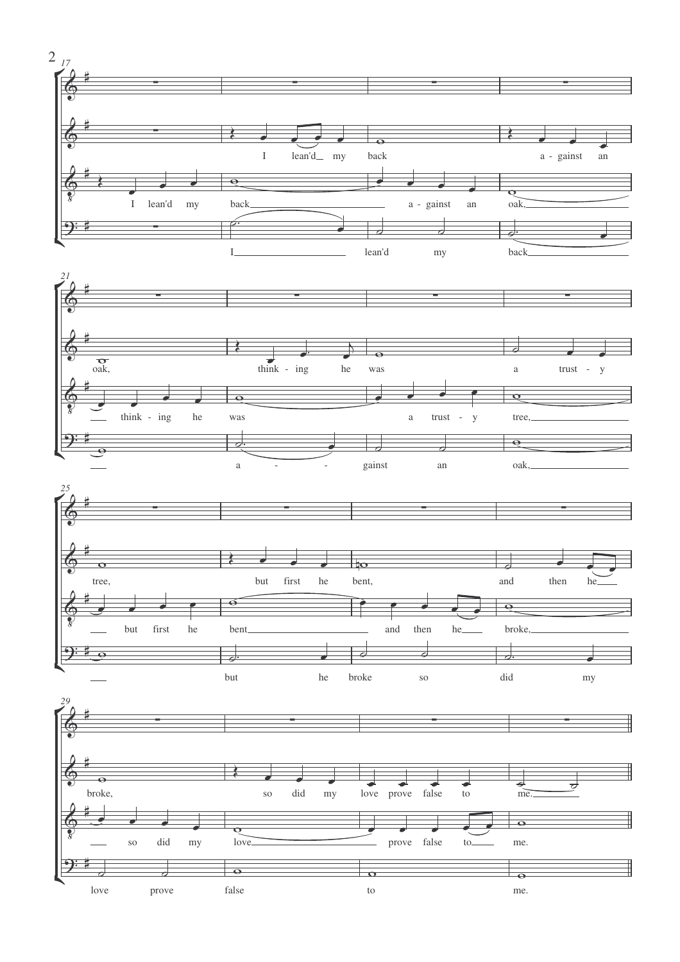

love prove false

me.

to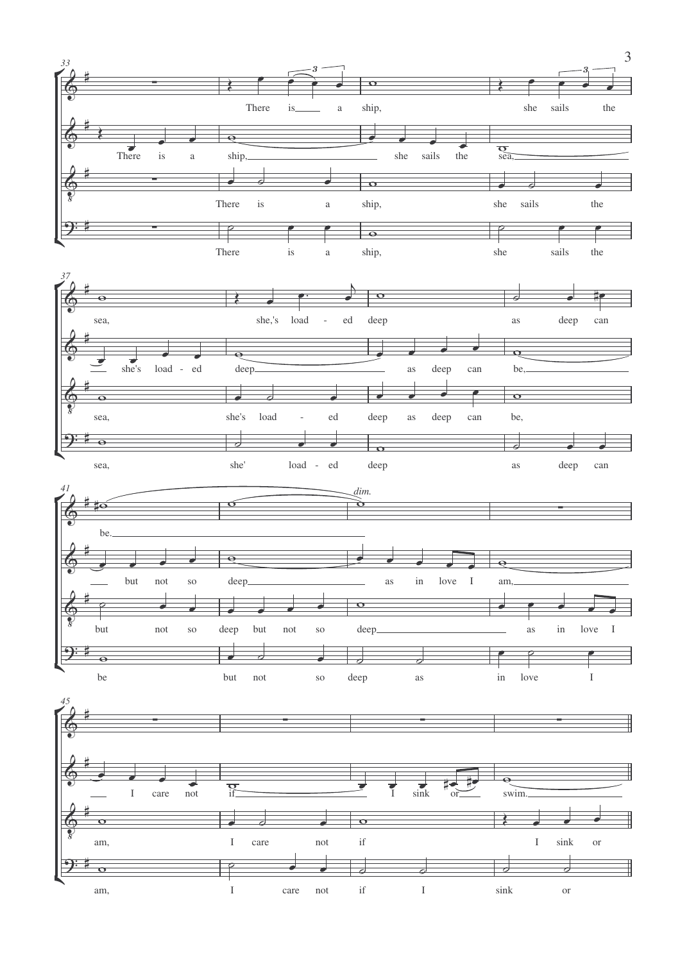